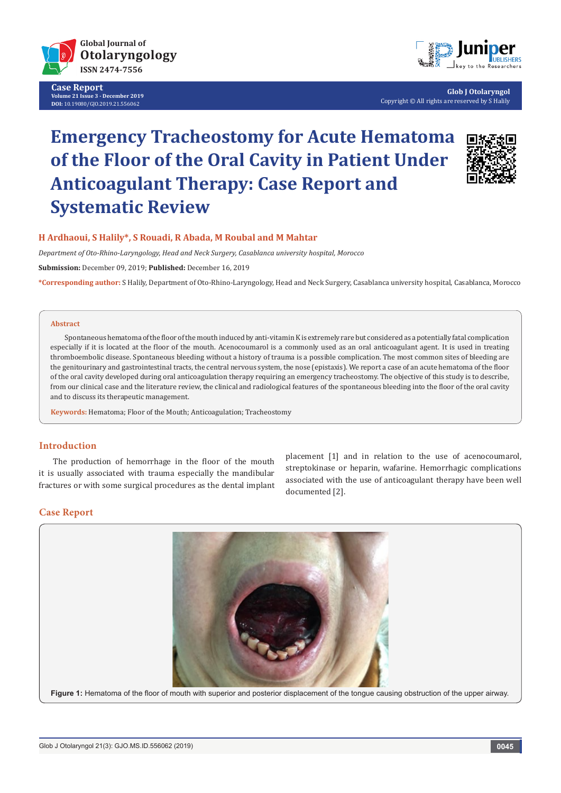

**Case Report Volume 21 Issue 3 - December 2019 DOI:** [10.19080/GJO.2019.21.556062](http://dx.doi.org/10.19080/GJO.2019.21.556062)



**Glob J Otolaryngol** Copyright © All rights are reserved by S Halily

# **Emergency Tracheostomy for Acute Hematoma of the Floor of the Oral Cavity in Patient Under Anticoagulant Therapy: Case Report and Systematic Review**



# **H Ardhaoui, S Halily\*, S Rouadi, R Abada, M Roubal and M Mahtar**

*Department of Oto-Rhino-Laryngology, Head and Neck Surgery, Casablanca university hospital, Morocco* 

**Submission:** December 09, 2019; **Published:** December 16, 2019

**\*Corresponding author:** S Halily, Department of Oto-Rhino-Laryngology, Head and Neck Surgery, Casablanca university hospital, Casablanca, Morocco

#### **Abstract**

Spontaneous hematoma of the floor of the mouth induced by anti-vitamin K is extremely rare but considered as a potentially fatal complication especially if it is located at the floor of the mouth. Acenocoumarol is a commonly used as an oral anticoagulant agent. It is used in treating thromboembolic disease. Spontaneous bleeding without a history of trauma is a possible complication. The most common sites of bleeding are the genitourinary and gastrointestinal tracts, the central nervous system, the nose (epistaxis). We report a case of an acute hematoma of the floor of the oral cavity developed during oral anticoagulation therapy requiring an emergency tracheostomy. The objective of this study is to describe, from our clinical case and the literature review, the clinical and radiological features of the spontaneous bleeding into the floor of the oral cavity and to discuss its therapeutic management.

**Keywords:** Hematoma; Floor of the Mouth; Anticoagulation; Tracheostomy

## **Introduction**

The production of hemorrhage in the floor of the mouth it is usually associated with trauma especially the mandibular fractures or with some surgical procedures as the dental implant placement [1] and in relation to the use of acenocoumarol, streptokinase or heparin, wafarine. Hemorrhagic complications associated with the use of anticoagulant therapy have been well documented [2].

#### **Case Report**

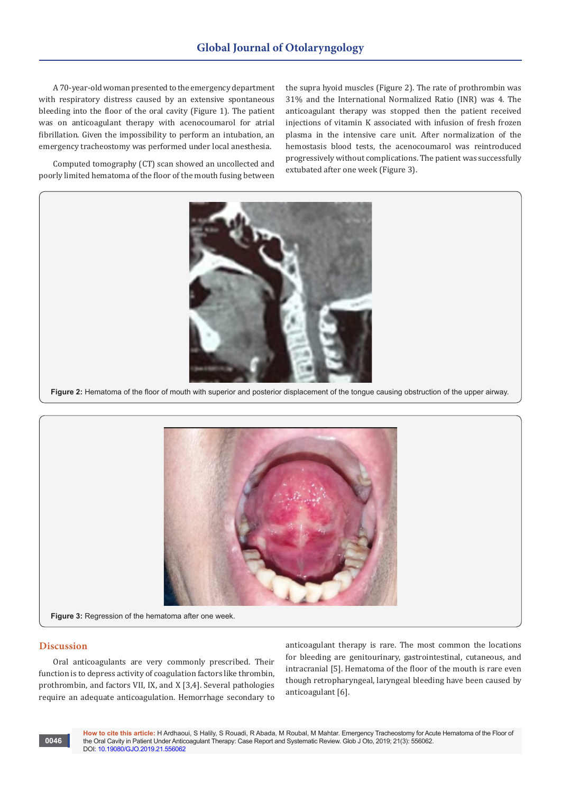A 70-year-old woman presented to the emergency department with respiratory distress caused by an extensive spontaneous bleeding into the floor of the oral cavity (Figure 1). The patient was on anticoagulant therapy with acenocoumarol for atrial fibrillation. Given the impossibility to perform an intubation, an emergency tracheostomy was performed under local anesthesia.

Computed tomography (CT) scan showed an uncollected and poorly limited hematoma of the floor of the mouth fusing between the supra hyoid muscles (Figure 2). The rate of prothrombin was 31% and the International Normalized Ratio (INR) was 4. The anticoagulant therapy was stopped then the patient received injections of vitamin K associated with infusion of fresh frozen plasma in the intensive care unit. After normalization of the hemostasis blood tests, the acenocoumarol was reintroduced progressively without complications. The patient was successfully extubated after one week (Figure 3).





## **Discussion**

Oral anticoagulants are very commonly prescribed. Their function is to depress activity of coagulation factors like thrombin, prothrombin, and factors VII, IX, and X [3,4]. Several pathologies require an adequate anticoagulation. Hemorrhage secondary to

anticoagulant therapy is rare. The most common the locations for bleeding are genitourinary, gastrointestinal, cutaneous, and intracranial [5]. Hematoma of the floor of the mouth is rare even though retropharyngeal, laryngeal bleeding have been caused by anticoagulant [6].

**How to cite this article:** H Ardhaoui, S Halily, S Rouadi, R Abada, M Roubal, M Mahtar. Emergency Tracheostomy for Acute Hematoma of the Floor of the Oral Cavity in Patient Under Anticoagulant Therapy: Case Report and Systematic Review. Glob J Oto, 2019; 21(3): 556062. DOI: [10.19080/GJO.2019.21.55606](http://dx.doi.org/10.19080/GJO.2019.21.556062)2